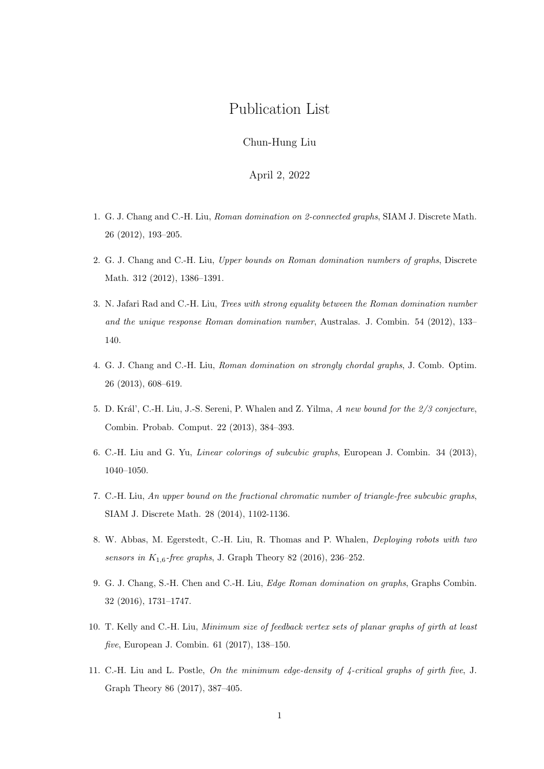## Publication List

## Chun-Hung Liu

## April 2, 2022

- 1. G. J. Chang and C.-H. Liu, *Roman domination on 2-connected graphs*, SIAM J. Discrete Math. 26 (2012), 193–205.
- 2. G. J. Chang and C.-H. Liu, *Upper bounds on Roman domination numbers of graphs*, Discrete Math. 312 (2012), 1386–1391.
- 3. N. Jafari Rad and C.-H. Liu, *Trees with strong equality between the Roman domination number and the unique response Roman domination number*, Australas. J. Combin. 54 (2012), 133– 140.
- 4. G. J. Chang and C.-H. Liu, *Roman domination on strongly chordal graphs*, J. Comb. Optim. 26 (2013), 608–619.
- 5. D. Kr´al', C.-H. Liu, J.-S. Sereni, P. Whalen and Z. Yilma, *A new bound for the 2/3 conjecture*, Combin. Probab. Comput. 22 (2013), 384–393.
- 6. C.-H. Liu and G. Yu, *Linear colorings of subcubic graphs*, European J. Combin. 34 (2013), 1040–1050.
- 7. C.-H. Liu, *An upper bound on the fractional chromatic number of triangle-free subcubic graphs*, SIAM J. Discrete Math. 28 (2014), 1102-1136.
- 8. W. Abbas, M. Egerstedt, C.-H. Liu, R. Thomas and P. Whalen, *Deploying robots with two sensors in K*1*,*6*-free graphs*, J. Graph Theory 82 (2016), 236–252.
- 9. G. J. Chang, S.-H. Chen and C.-H. Liu, *Edge Roman domination on graphs*, Graphs Combin. 32 (2016), 1731–1747.
- 10. T. Kelly and C.-H. Liu, *Minimum size of feedback vertex sets of planar graphs of girth at least five*, European J. Combin. 61 (2017), 138–150.
- 11. C.-H. Liu and L. Postle, *On the minimum edge-density of 4-critical graphs of girth five*, J. Graph Theory 86 (2017), 387–405.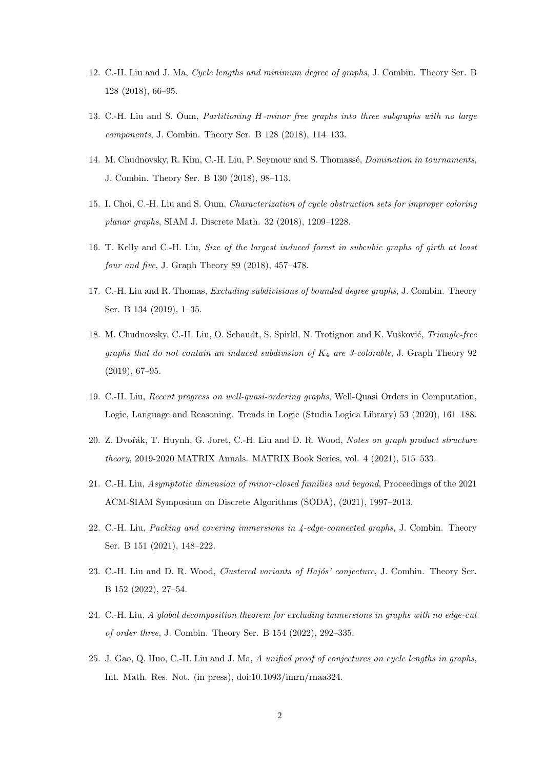- 12. C.-H. Liu and J. Ma, *Cycle lengths and minimum degree of graphs*, J. Combin. Theory Ser. B 128 (2018), 66–95.
- 13. C.-H. Liu and S. Oum, *Partitioning H-minor free graphs into three subgraphs with no large components*, J. Combin. Theory Ser. B 128 (2018), 114–133.
- 14. M. Chudnovsky, R. Kim, C.-H. Liu, P. Seymour and S. Thomass´e, *Domination in tournaments*, J. Combin. Theory Ser. B 130 (2018), 98–113.
- 15. I. Choi, C.-H. Liu and S. Oum, *Characterization of cycle obstruction sets for improper coloring planar graphs*, SIAM J. Discrete Math. 32 (2018), 1209–1228.
- 16. T. Kelly and C.-H. Liu, *Size of the largest induced forest in subcubic graphs of girth at least four and five*, J. Graph Theory 89 (2018), 457–478.
- 17. C.-H. Liu and R. Thomas, *Excluding subdivisions of bounded degree graphs*, J. Combin. Theory Ser. B 134 (2019), 1–35.
- 18. M. Chudnovsky, C.-H. Liu, O. Schaudt, S. Spirkl, N. Trotignon and K. Vušković, *Triangle-free graphs that do not contain an induced subdivision of K*<sup>4</sup> *are 3-colorable*, J. Graph Theory 92 (2019), 67–95.
- 19. C.-H. Liu, *Recent progress on well-quasi-ordering graphs*, Well-Quasi Orders in Computation, Logic, Language and Reasoning. Trends in Logic (Studia Logica Library) 53 (2020), 161–188.
- 20. Z. Dvoˇr´ak, T. Huynh, G. Joret, C.-H. Liu and D. R. Wood, *Notes on graph product structure theory*, 2019-2020 MATRIX Annals. MATRIX Book Series, vol. 4 (2021), 515–533.
- 21. C.-H. Liu, *Asymptotic dimension of minor-closed families and beyond*, Proceedings of the 2021 ACM-SIAM Symposium on Discrete Algorithms (SODA), (2021), 1997–2013.
- 22. C.-H. Liu, *Packing and covering immersions in 4-edge-connected graphs*, J. Combin. Theory Ser. B 151 (2021), 148–222.
- 23. C.-H. Liu and D. R. Wood, *Clustered variants of Hajós' conjecture*, J. Combin. Theory Ser. B 152 (2022), 27–54.
- 24. C.-H. Liu, *A global decomposition theorem for excluding immersions in graphs with no edge-cut of order three*, J. Combin. Theory Ser. B 154 (2022), 292–335.
- 25. J. Gao, Q. Huo, C.-H. Liu and J. Ma, *A unified proof of conjectures on cycle lengths in graphs*, Int. Math. Res. Not. (in press), doi:10.1093/imrn/rnaa324.